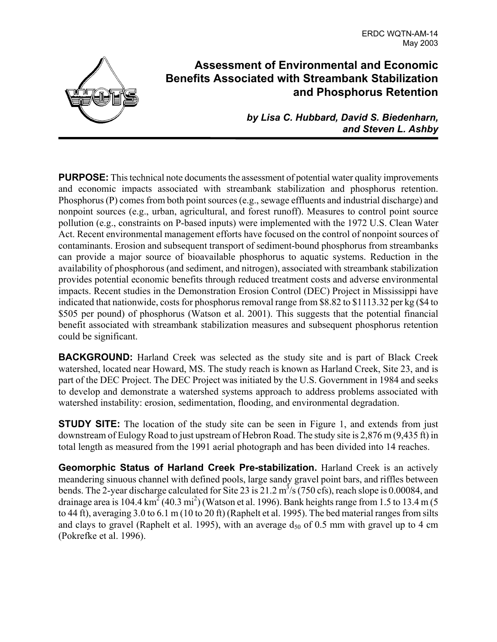

## **Assessment of Environmental and Economic Benefits Associated with Streambank Stabilization and Phosphorus Retention**

*by Lisa C. Hubbard, David S. Biedenharn, and Steven L. Ashby*

**PURPOSE:** This technical note documents the assessment of potential water quality improvements and economic impacts associated with streambank stabilization and phosphorus retention. Phosphorus (P) comes from both point sources (e.g., sewage effluents and industrial discharge) and nonpoint sources (e.g., urban, agricultural, and forest runoff). Measures to control point source pollution (e.g., constraints on P-based inputs) were implemented with the 1972 U.S. Clean Water Act. Recent environmental management efforts have focused on the control of nonpoint sources of contaminants. Erosion and subsequent transport of sediment-bound phosphorus from streambanks can provide a major source of bioavailable phosphorus to aquatic systems. Reduction in the availability of phosphorous (and sediment, and nitrogen), associated with streambank stabilization provides potential economic benefits through reduced treatment costs and adverse environmental impacts. Recent studies in the Demonstration Erosion Control (DEC) Project in Mississippi have indicated that nationwide, costs for phosphorus removal range from \$8.82 to \$1113.32 per kg (\$4 to \$505 per pound) of phosphorus (Watson et al. 2001). This suggests that the potential financial benefit associated with streambank stabilization measures and subsequent phosphorus retention could be significant.

**BACKGROUND:** Harland Creek was selected as the study site and is part of Black Creek watershed, located near Howard, MS. The study reach is known as Harland Creek, Site 23, and is part of the DEC Project. The DEC Project was initiated by the U.S. Government in 1984 and seeks to develop and demonstrate a watershed systems approach to address problems associated with watershed instability: erosion, sedimentation, flooding, and environmental degradation.

**STUDY SITE:** The location of the study site can be seen in Figure 1, and extends from just downstream of Eulogy Road to just upstream of Hebron Road. The study site is 2,876 m (9,435 ft) in total length as measured from the 1991 aerial photograph and has been divided into 14 reaches.

**Geomorphic Status of Harland Creek Pre-stabilization.** Harland Creek is an actively meandering sinuous channel with defined pools, large sandy gravel point bars, and riffles between bends. The 2-year discharge calculated for Site 23 is  $21.2 \text{ m}^3/\text{s}$  (750 cfs), reach slope is 0.00084, and drainage area is 104.4 km<sup>2</sup> (40.3 mi<sup>2</sup>) (Watson et al. 1996). Bank heights range from 1.5 to 13.4 m (5 to 44 ft), averaging 3.0 to 6.1 m (10 to 20 ft) (Raphelt et al. 1995). The bed material ranges from silts and clays to gravel (Raphelt et al. 1995), with an average  $d_{50}$  of 0.5 mm with gravel up to 4 cm (Pokrefke et al. 1996).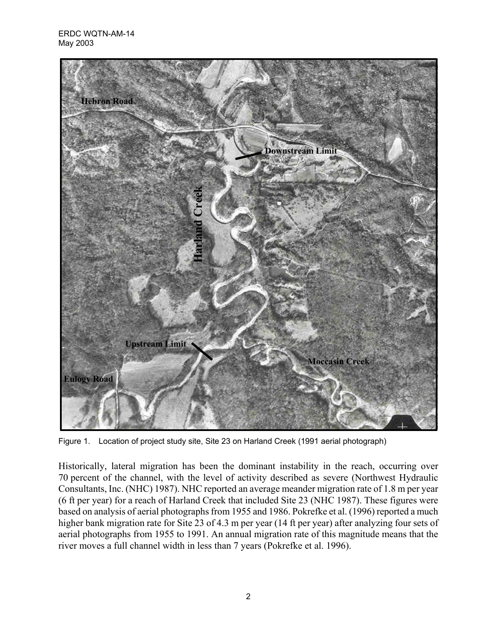

Figure 1. Location of project study site, Site 23 on Harland Creek (1991 aerial photograph)

Historically, lateral migration has been the dominant instability in the reach, occurring over 70 percent of the channel, with the level of activity described as severe (Northwest Hydraulic Consultants, Inc. (NHC) 1987). NHC reported an average meander migration rate of 1.8 m per year (6 ft per year) for a reach of Harland Creek that included Site 23 (NHC 1987). These figures were based on analysis of aerial photographs from 1955 and 1986. Pokrefke et al. (1996) reported a much higher bank migration rate for Site 23 of 4.3 m per year (14 ft per year) after analyzing four sets of aerial photographs from 1955 to 1991. An annual migration rate of this magnitude means that the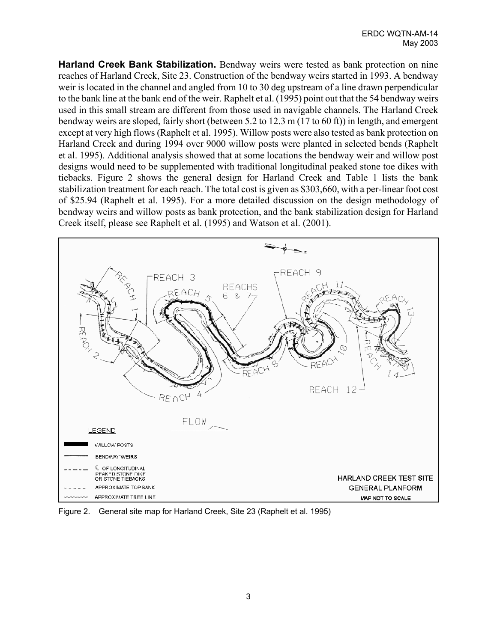**Harland Creek Bank Stabilization.** Bendway weirs were tested as bank protection on nine reaches of Harland Creek, Site 23. Construction of the bendway weirs started in 1993. A bendway weir is located in the channel and angled from 10 to 30 deg upstream of a line drawn perpendicular to the bank line at the bank end of the weir. Raphelt et al. (1995) point out that the 54 bendway weirs used in this small stream are different from those used in navigable channels. The Harland Creek bendway weirs are sloped, fairly short (between 5.2 to 12.3 m (17 to 60 ft)) in length, and emergent except at very high flows (Raphelt et al. 1995). Willow posts were also tested as bank protection on Harland Creek and during 1994 over 9000 willow posts were planted in selected bends (Raphelt et al. 1995). Additional analysis showed that at some locations the bendway weir and willow post designs would need to be supplemented with traditional longitudinal peaked stone toe dikes with tiebacks. Figure 2 shows the general design for Harland Creek and Table 1 lists the bank stabilization treatment for each reach. The total cost is given as \$303,660, with a per-linear foot cost of \$25.94 (Raphelt et al. 1995). For a more detailed discussion on the design methodology of bendway weirs and willow posts as bank protection, and the bank stabilization design for Harland Creek itself, please see Raphelt et al. (1995) and Watson et al. (2001).



Figure 2. General site map for Harland Creek, Site 23 (Raphelt et al. 1995)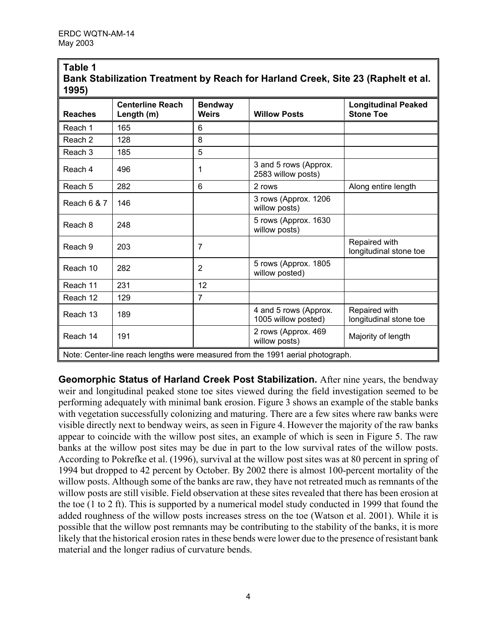| Bank Stabilization Treatment by Reach for Harland Creek, Site 23 (Raphelt et al.<br>1995) |                                       |                                |                                              |                                                |  |  |  |  |
|-------------------------------------------------------------------------------------------|---------------------------------------|--------------------------------|----------------------------------------------|------------------------------------------------|--|--|--|--|
| <b>Reaches</b>                                                                            | <b>Centerline Reach</b><br>Length (m) | <b>Bendway</b><br><b>Weirs</b> | <b>Willow Posts</b>                          | <b>Longitudinal Peaked</b><br><b>Stone Toe</b> |  |  |  |  |
| Reach 1                                                                                   | 165                                   | 6                              |                                              |                                                |  |  |  |  |
| Reach <sub>2</sub>                                                                        | 128                                   | 8                              |                                              |                                                |  |  |  |  |
| Reach <sub>3</sub>                                                                        | 185                                   | 5                              |                                              |                                                |  |  |  |  |
| Reach 4                                                                                   | 496                                   | 1                              | 3 and 5 rows (Approx.<br>2583 willow posts)  |                                                |  |  |  |  |
| Reach 5                                                                                   | 282                                   | 6                              | 2 rows                                       | Along entire length                            |  |  |  |  |
| Reach 6 & 7                                                                               | 146                                   |                                | 3 rows (Approx. 1206<br>willow posts)        |                                                |  |  |  |  |
| Reach 8                                                                                   | 248                                   |                                | 5 rows (Approx. 1630<br>willow posts)        |                                                |  |  |  |  |
| Reach 9                                                                                   | 203                                   | 7                              |                                              | Repaired with<br>longitudinal stone toe        |  |  |  |  |
| Reach 10                                                                                  | 282                                   | $\overline{2}$                 | 5 rows (Approx. 1805<br>willow posted)       |                                                |  |  |  |  |
| Reach 11                                                                                  | 231                                   | 12                             |                                              |                                                |  |  |  |  |
| Reach 12                                                                                  | 129                                   | $\overline{7}$                 |                                              |                                                |  |  |  |  |
| Reach 13                                                                                  | 189                                   |                                | 4 and 5 rows (Approx.<br>1005 willow posted) | Repaired with<br>longitudinal stone toe        |  |  |  |  |
| Reach 14                                                                                  | 191                                   |                                | 2 rows (Approx. 469<br>willow posts)         | Majority of length                             |  |  |  |  |
| Note: Center-line reach lengths were measured from the 1991 aerial photograph.            |                                       |                                |                                              |                                                |  |  |  |  |

# **Table 1 Bank Stabilization Treatment by Reach for Harland Creek, Site 23 (Raphelt et al.**

**Geomorphic Status of Harland Creek Post Stabilization.** After nine years, the bendway weir and longitudinal peaked stone toe sites viewed during the field investigation seemed to be performing adequately with minimal bank erosion. Figure 3 shows an example of the stable banks with vegetation successfully colonizing and maturing. There are a few sites where raw banks were visible directly next to bendway weirs, as seen in Figure 4. However the majority of the raw banks appear to coincide with the willow post sites, an example of which is seen in Figure 5. The raw banks at the willow post sites may be due in part to the low survival rates of the willow posts. According to Pokrefke et al. (1996), survival at the willow post sites was at 80 percent in spring of 1994 but dropped to 42 percent by October. By 2002 there is almost 100-percent mortality of the willow posts. Although some of the banks are raw, they have not retreated much as remnants of the willow posts are still visible. Field observation at these sites revealed that there has been erosion at the toe (1 to 2 ft). This is supported by a numerical model study conducted in 1999 that found the added roughness of the willow posts increases stress on the toe (Watson et al. 2001). While it is possible that the willow post remnants may be contributing to the stability of the banks, it is more likely that the historical erosion rates in these bends were lower due to the presence of resistant bank material and the longer radius of curvature bends.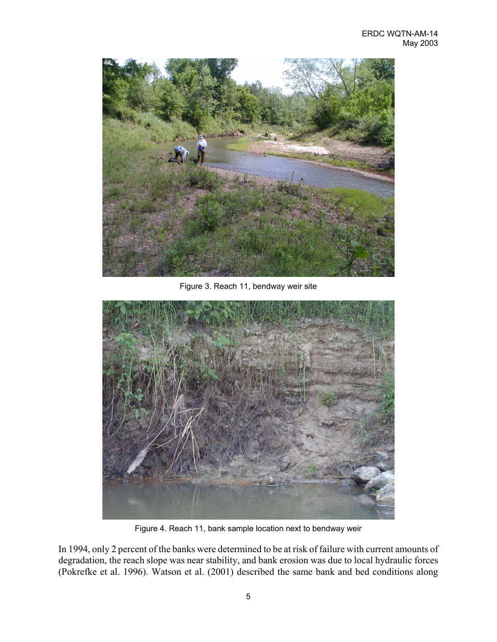

Figure 3. Reach 11, bendway weir site



Figure 4. Reach 11, bank sample location next to bendway weir

In 1994, only 2 percent of the banks were determined to be at risk of failure with current amounts of degradation, the reach slope was near stability, and bank erosion was due to local hydraulic forces (Pokrefke et al. 1996). Watson et al. (2001) described the same bank and bed conditions along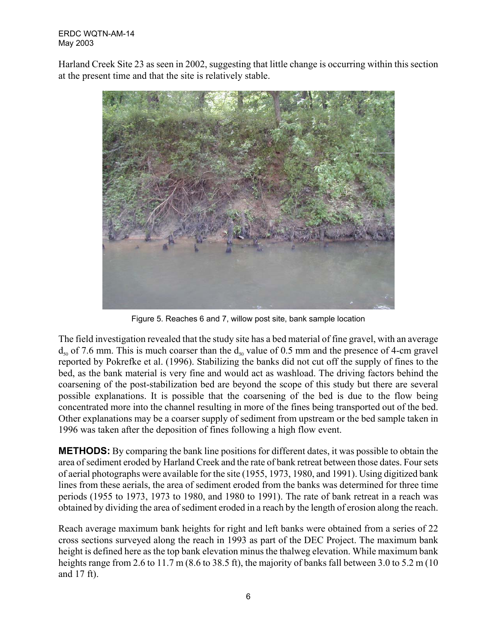#### ERDC WQTN-AM-14 May 2003

Harland Creek Site 23 as seen in 2002, suggesting that little change is occurring within this section at the present time and that the site is relatively stable.



Figure 5. Reaches 6 and 7, willow post site, bank sample location

The field investigation revealed that the study site has a bed material of fine gravel, with an average  $d_{50}$  of 7.6 mm. This is much coarser than the  $d_{50}$  value of 0.5 mm and the presence of 4-cm gravel reported by Pokrefke et al. (1996). Stabilizing the banks did not cut off the supply of fines to the bed, as the bank material is very fine and would act as washload. The driving factors behind the coarsening of the post-stabilization bed are beyond the scope of this study but there are several possible explanations. It is possible that the coarsening of the bed is due to the flow being concentrated more into the channel resulting in more of the fines being transported out of the bed. Other explanations may be a coarser supply of sediment from upstream or the bed sample taken in 1996 was taken after the deposition of fines following a high flow event.

**METHODS:** By comparing the bank line positions for different dates, it was possible to obtain the area of sediment eroded by Harland Creek and the rate of bank retreat between those dates. Four sets of aerial photographs were available for the site (1955, 1973, 1980, and 1991). Using digitized bank lines from these aerials, the area of sediment eroded from the banks was determined for three time periods (1955 to 1973, 1973 to 1980, and 1980 to 1991). The rate of bank retreat in a reach was obtained by dividing the area of sediment eroded in a reach by the length of erosion along the reach.

Reach average maximum bank heights for right and left banks were obtained from a series of 22 cross sections surveyed along the reach in 1993 as part of the DEC Project. The maximum bank height is defined here as the top bank elevation minus the thalweg elevation. While maximum bank heights range from 2.6 to 11.7 m (8.6 to 38.5 ft), the majority of banks fall between 3.0 to 5.2 m (10) and 17 ft).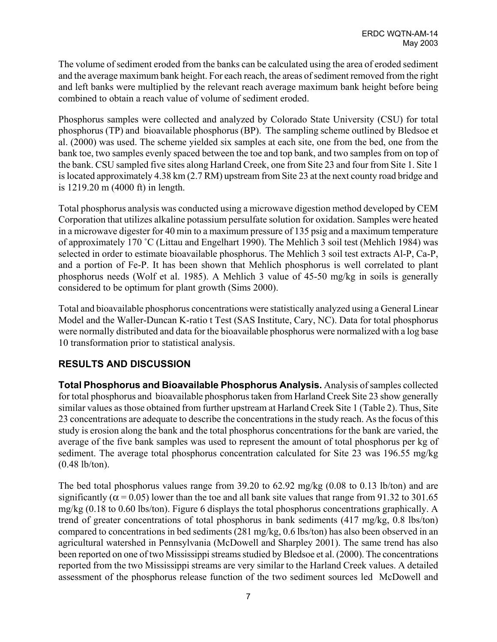The volume of sediment eroded from the banks can be calculated using the area of eroded sediment and the average maximum bank height. For each reach, the areas of sediment removed from the right and left banks were multiplied by the relevant reach average maximum bank height before being combined to obtain a reach value of volume of sediment eroded.

Phosphorus samples were collected and analyzed by Colorado State University (CSU) for total phosphorus (TP) and bioavailable phosphorus (BP). The sampling scheme outlined by Bledsoe et al. (2000) was used. The scheme yielded six samples at each site, one from the bed, one from the bank toe, two samples evenly spaced between the toe and top bank, and two samples from on top of the bank. CSU sampled five sites along Harland Creek, one from Site 23 and four from Site 1. Site 1 is located approximately 4.38 km (2.7 RM) upstream from Site 23 at the next county road bridge and is 1219.20 m (4000 ft) in length.

Total phosphorus analysis was conducted using a microwave digestion method developed by CEM Corporation that utilizes alkaline potassium persulfate solution for oxidation. Samples were heated in a microwave digester for 40 min to a maximum pressure of 135 psig and a maximum temperature of approximately 170 ˚C (Littau and Engelhart 1990). The Mehlich 3 soil test (Mehlich 1984) was selected in order to estimate bioavailable phosphorus. The Mehlich 3 soil test extracts Al-P, Ca-P, and a portion of Fe-P. It has been shown that Mehlich phosphorus is well correlated to plant phosphorus needs (Wolf et al. 1985). A Mehlich 3 value of 45-50 mg/kg in soils is generally considered to be optimum for plant growth (Sims 2000).

Total and bioavailable phosphorus concentrations were statistically analyzed using a General Linear Model and the Waller-Duncan K-ratio t Test (SAS Institute, Cary, NC). Data for total phosphorus were normally distributed and data for the bioavailable phosphorus were normalized with a log base 10 transformation prior to statistical analysis.

### **RESULTS AND DISCUSSION**

**Total Phosphorus and Bioavailable Phosphorus Analysis.** Analysis of samples collected for total phosphorus and bioavailable phosphorus taken from Harland Creek Site 23 show generally similar values as those obtained from further upstream at Harland Creek Site 1 (Table 2). Thus, Site 23 concentrations are adequate to describe the concentrations in the study reach. As the focus of this study is erosion along the bank and the total phosphorus concentrations for the bank are varied, the average of the five bank samples was used to represent the amount of total phosphorus per kg of sediment. The average total phosphorus concentration calculated for Site 23 was 196.55 mg/kg (0.48 lb/ton).

The bed total phosphorus values range from 39.20 to 62.92 mg/kg (0.08 to 0.13 lb/ton) and are significantly ( $\alpha$  = 0.05) lower than the toe and all bank site values that range from 91.32 to 301.65 mg/kg (0.18 to 0.60 lbs/ton). Figure 6 displays the total phosphorus concentrations graphically. A trend of greater concentrations of total phosphorus in bank sediments (417 mg/kg, 0.8 lbs/ton) compared to concentrations in bed sediments (281 mg/kg, 0.6 lbs/ton) has also been observed in an agricultural watershed in Pennsylvania (McDowell and Sharpley 2001). The same trend has also been reported on one of two Mississippi streams studied by Bledsoe et al. (2000). The concentrations reported from the two Mississippi streams are very similar to the Harland Creek values. A detailed assessment of the phosphorus release function of the two sediment sources led McDowell and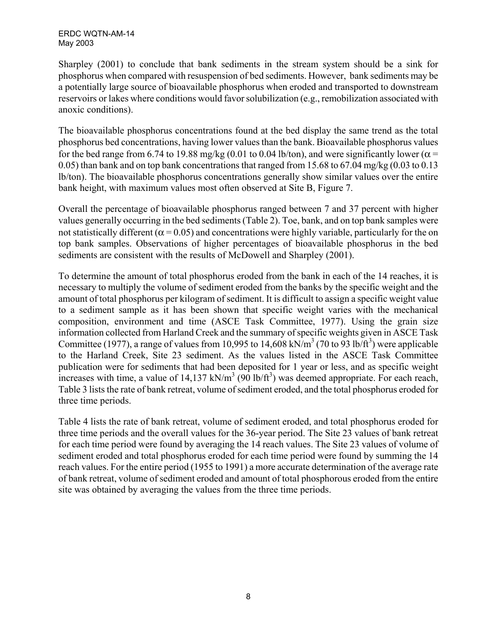ERDC WQTN-AM-14 May 2003

Sharpley (2001) to conclude that bank sediments in the stream system should be a sink for phosphorus when compared with resuspension of bed sediments. However, bank sediments may be a potentially large source of bioavailable phosphorus when eroded and transported to downstream reservoirs or lakes where conditions would favor solubilization (e.g., remobilization associated with anoxic conditions).

The bioavailable phosphorus concentrations found at the bed display the same trend as the total phosphorus bed concentrations, having lower values than the bank. Bioavailable phosphorus values for the bed range from 6.74 to 19.88 mg/kg (0.01 to 0.04 lb/ton), and were significantly lower ( $\alpha$  = 0.05) than bank and on top bank concentrations that ranged from 15.68 to 67.04 mg/kg (0.03 to 0.13 lb/ton). The bioavailable phosphorus concentrations generally show similar values over the entire bank height, with maximum values most often observed at Site B, Figure 7.

Overall the percentage of bioavailable phosphorus ranged between 7 and 37 percent with higher values generally occurring in the bed sediments (Table 2). Toe, bank, and on top bank samples were not statistically different ( $\alpha$  = 0.05) and concentrations were highly variable, particularly for the on top bank samples. Observations of higher percentages of bioavailable phosphorus in the bed sediments are consistent with the results of McDowell and Sharpley (2001).

To determine the amount of total phosphorus eroded from the bank in each of the 14 reaches, it is necessary to multiply the volume of sediment eroded from the banks by the specific weight and the amount of total phosphorus per kilogram of sediment. It is difficult to assign a specific weight value to a sediment sample as it has been shown that specific weight varies with the mechanical composition, environment and time (ASCE Task Committee, 1977). Using the grain size information collected from Harland Creek and the summary of specific weights given in ASCE Task Committee (1977), a range of values from 10,995 to 14,608 kN/m<sup>3</sup> (70 to 93 lb/ft<sup>3</sup>) were applicable to the Harland Creek, Site 23 sediment. As the values listed in the ASCE Task Committee publication were for sediments that had been deposited for 1 year or less, and as specific weight increases with time, a value of  $14,137$  kN/m<sup>3</sup> (90 lb/ft<sup>3</sup>) was deemed appropriate. For each reach, Table 3 lists the rate of bank retreat, volume of sediment eroded, and the total phosphorus eroded for three time periods.

Table 4 lists the rate of bank retreat, volume of sediment eroded, and total phosphorus eroded for three time periods and the overall values for the 36-year period. The Site 23 values of bank retreat for each time period were found by averaging the 14 reach values. The Site 23 values of volume of sediment eroded and total phosphorus eroded for each time period were found by summing the 14 reach values. For the entire period (1955 to 1991) a more accurate determination of the average rate of bank retreat, volume of sediment eroded and amount of total phosphorous eroded from the entire site was obtained by averaging the values from the three time periods.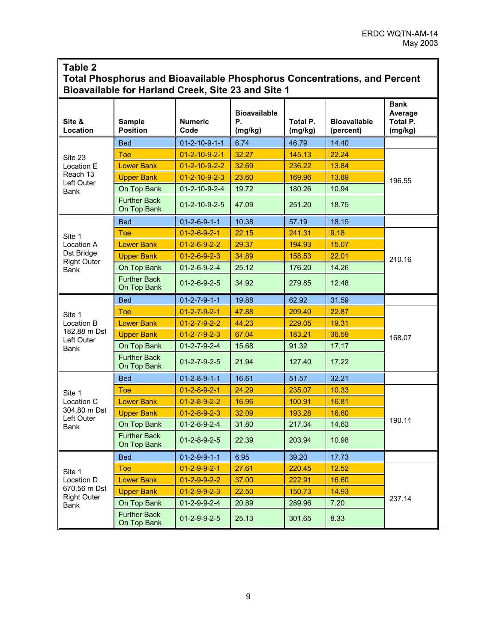#### **Table 2**

### **Total Phosphorus and Bioavailable Phosphorus Concentrations, and Percent Bioavailable for Harland Creek, Site 23 and Site 1**

| Site &<br>Location                 | <b>Sample</b><br><b>Position</b>   | <b>Numeric</b><br>Code    | <b>Bioavailable</b><br>Ρ.<br>(mg/kg) | Total P.<br>(mg/kg) | <b>Bioavailable</b><br>(percent) | <b>Bank</b><br>Average<br>Total P.<br>(mg/kg) |  |
|------------------------------------|------------------------------------|---------------------------|--------------------------------------|---------------------|----------------------------------|-----------------------------------------------|--|
|                                    | <b>Bed</b>                         | $01 - 2 - 10 - 9 - 1 - 1$ | 6.74                                 | 46.79               | 14.40                            |                                               |  |
| Site 23                            | Toe                                | $01 - 2 - 10 - 9 - 2 - 1$ | 32.27                                | 145.13              | 22.24                            |                                               |  |
| Location E                         | <b>Lower Bank</b>                  | $01 - 2 - 10 - 9 - 2 - 2$ | 32.69                                | 236.22              | 13.84                            |                                               |  |
| Reach 13                           | <b>Upper Bank</b>                  | $01 - 2 - 10 - 9 - 2 - 3$ | 23.60                                | 169.96              | 13.89                            | 196.55                                        |  |
| Left Outer<br>Bank                 | On Top Bank                        | $01 - 2 - 10 - 9 - 2 - 4$ | 19.72                                | 180.26              | 10.94                            |                                               |  |
|                                    | <b>Further Back</b><br>On Top Bank | $01 - 2 - 10 - 9 - 2 - 5$ | 47.09                                | 251.20              | 18.75                            |                                               |  |
|                                    | <b>Bed</b>                         | $01 - 2 - 6 - 9 - 1 - 1$  | 10.38                                | 57.19               | 18.15                            |                                               |  |
| Site 1                             | <b>Toe</b>                         | $01 - 2 - 6 - 9 - 2 - 1$  | 22.15                                | 241.31              | 9.18                             |                                               |  |
| Location A                         | <b>Lower Bank</b>                  | $01 - 2 - 6 - 9 - 2 - 2$  | 29.37                                | 194.93              | 15.07                            |                                               |  |
| Dst Bridge<br><b>Right Outer</b>   | <b>Upper Bank</b>                  | $01 - 2 - 6 - 9 - 2 - 3$  | 34.89                                | 158.53              | 22.01                            | 210.16                                        |  |
| <b>Bank</b>                        | On Top Bank                        | $01 - 2 - 6 - 9 - 2 - 4$  | 25.12                                | 176.20              | 14.26                            |                                               |  |
|                                    | <b>Further Back</b><br>On Top Bank | $01 - 2 - 6 - 9 - 2 - 5$  | 34.92                                | 279.85              | 12.48                            |                                               |  |
|                                    | <b>Bed</b>                         | $01 - 2 - 7 - 9 - 1 - 1$  | 19.88                                | 62.92               | 31.59                            |                                               |  |
| Site 1                             | <b>Toe</b>                         | $01 - 2 - 7 - 9 - 2 - 1$  | 47.88                                | 209.40              | 22.87                            |                                               |  |
| Location B                         | <b>Lower Bank</b>                  | $01 - 2 - 7 - 9 - 2 - 2$  | 44.23                                | 229.05              | 19.31                            |                                               |  |
| 182.88 m Dst<br>Left Outer         | <b>Upper Bank</b>                  | $01 - 2 - 7 - 9 - 2 - 3$  | 67.04                                | 183.21              | 36.59                            | 168.07                                        |  |
| Bank                               | On Top Bank                        | $01 - 2 - 7 - 9 - 2 - 4$  | 15.68                                | 91.32               | 17.17                            |                                               |  |
|                                    | <b>Further Back</b><br>On Top Bank | $01 - 2 - 7 - 9 - 2 - 5$  | 21.94                                | 127.40              | 17.22                            |                                               |  |
|                                    | <b>Bed</b>                         | $01 - 2 - 8 - 9 - 1 - 1$  | 16.61                                | 51.57               | 32.21                            |                                               |  |
| Site 1                             | Toe                                | $01 - 2 - 8 - 9 - 2 - 1$  | 24.29                                | 235.07              | 10.33                            |                                               |  |
| Location C                         | <b>Lower Bank</b>                  | $01 - 2 - 8 - 9 - 2 - 2$  | 16.96                                | 100.91              | 16.81                            |                                               |  |
| 304.80 m Dst<br>Left Outer         | <b>Upper Bank</b>                  | $01 - 2 - 8 - 9 - 2 - 3$  | 32.09                                | 193.28              | 16.60                            |                                               |  |
| Bank                               | On Top Bank                        | $01 - 2 - 8 - 9 - 2 - 4$  | 31.80                                | 217.34              | 14.63                            | 190.11                                        |  |
|                                    | <b>Further Back</b><br>On Top Bank | $01 - 2 - 8 - 9 - 2 - 5$  | 22.39                                | 203.94              | 10.98                            |                                               |  |
|                                    | <b>Bed</b>                         | $01 - 2 - 9 - 9 - 1 - 1$  | 6.95                                 | 39.20               | 17.73                            |                                               |  |
| Site 1                             | <b>Toe</b>                         | $01 - 2 - 9 - 9 - 2 - 1$  | 27.61                                | 220.45              | 12.52                            |                                               |  |
| Location D                         | <b>Lower Bank</b>                  | $01 - 2 - 9 - 9 - 2 - 2$  | 37.00                                | 222.91              | 16.60                            |                                               |  |
| 670.56 m Dst<br><b>Right Outer</b> | <b>Upper Bank</b>                  | $01 - 2 - 9 - 9 - 2 - 3$  | 22.50                                | 150.73              | 14.93                            |                                               |  |
| Bank                               | On Top Bank                        | $01 - 2 - 9 - 9 - 2 - 4$  | 20.89                                | 289.96              | 7.20                             | 237.14                                        |  |
|                                    | <b>Further Back</b><br>On Top Bank | $01 - 2 - 9 - 9 - 2 - 5$  | 25.13                                | 301.65              | 8.33                             |                                               |  |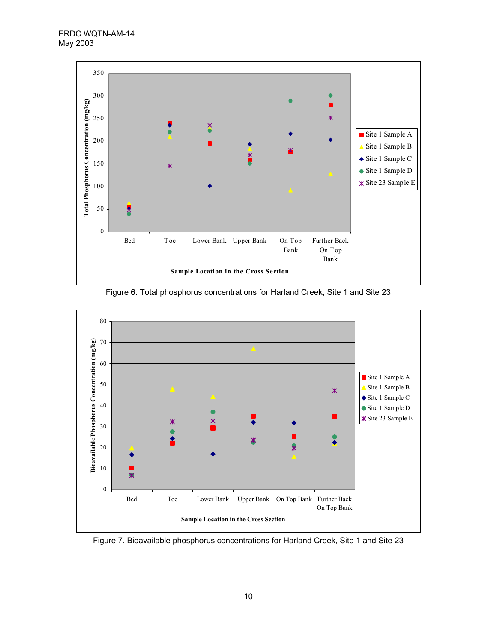



Figure 6. Total phosphorus concentrations for Harland Creek, Site 1 and Site 23

Figure 7. Bioavailable phosphorus concentrations for Harland Creek, Site 1 and Site 23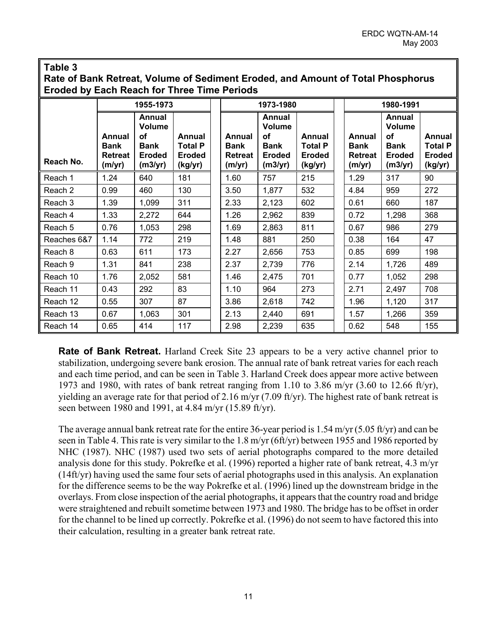#### **Table 3**

**Rate of Bank Retreat, Volume of Sediment Eroded, and Amount of Total Phosphorus Eroded by Each Reach for Three Time Periods** 

|             | 1955-1973                                                |                                                                   |                                                      | 1973-1980                                         |                                                                                 |                                                      | 1980-1991                                         |                                                                          |                                                      |  |
|-------------|----------------------------------------------------------|-------------------------------------------------------------------|------------------------------------------------------|---------------------------------------------------|---------------------------------------------------------------------------------|------------------------------------------------------|---------------------------------------------------|--------------------------------------------------------------------------|------------------------------------------------------|--|
| Reach No.   | <b>Annual</b><br><b>Bank</b><br><b>Retreat</b><br>(m/yr) | Annual<br>Volume<br>οf<br><b>Bank</b><br><b>Eroded</b><br>(m3/yr) | Annual<br><b>Total P</b><br><b>Eroded</b><br>(kg/yr) | Annual<br><b>Bank</b><br><b>Retreat</b><br>(m/yr) | Annual<br><b>Volume</b><br><b>of</b><br><b>Bank</b><br><b>Eroded</b><br>(m3/yr) | Annual<br><b>Total P</b><br><b>Eroded</b><br>(kg/yr) | Annual<br><b>Bank</b><br><b>Retreat</b><br>(m/yr) | Annual<br><b>Volume</b><br>οf<br><b>Bank</b><br><b>Eroded</b><br>(m3/yr) | Annual<br><b>Total P</b><br><b>Eroded</b><br>(kg/yr) |  |
| Reach 1     | 1.24                                                     | 640                                                               | 181                                                  | 1.60                                              | 757                                                                             | 215                                                  | 1.29                                              | 317                                                                      | 90                                                   |  |
| Reach 2     | 0.99                                                     | 460                                                               | 130                                                  | 3.50                                              | 1,877                                                                           | 532                                                  | 4.84                                              | 959                                                                      | 272                                                  |  |
| Reach 3     | 1.39                                                     | 1,099                                                             | 311                                                  | 2.33                                              | 2,123                                                                           | 602                                                  | 0.61                                              | 660                                                                      | 187                                                  |  |
| Reach 4     | 1.33                                                     | 2,272                                                             | 644                                                  | 1.26                                              | 2,962                                                                           | 839                                                  | 0.72                                              | 1,298                                                                    | 368                                                  |  |
| Reach 5     | 0.76                                                     | 1,053                                                             | 298                                                  | 1.69                                              | 2,863                                                                           | 811                                                  | 0.67                                              | 986                                                                      | 279                                                  |  |
| Reaches 6&7 | 1.14                                                     | 772                                                               | 219                                                  | 1.48                                              | 881                                                                             | 250                                                  | 0.38                                              | 164                                                                      | 47                                                   |  |
| Reach 8     | 0.63                                                     | 611                                                               | 173                                                  | 2.27                                              | 2,656                                                                           | 753                                                  | 0.85                                              | 699                                                                      | 198                                                  |  |
| Reach 9     | 1.31                                                     | 841                                                               | 238                                                  | 2.37                                              | 2,739                                                                           | 776                                                  | 2.14                                              | 1,726                                                                    | 489                                                  |  |
| Reach 10    | 1.76                                                     | 2,052                                                             | 581                                                  | 1.46                                              | 2,475                                                                           | 701                                                  | 0.77                                              | 1,052                                                                    | 298                                                  |  |
| Reach 11    | 0.43                                                     | 292                                                               | 83                                                   | 1.10                                              | 964                                                                             | 273                                                  | 2.71                                              | 2,497                                                                    | 708                                                  |  |
| Reach 12    | 0.55                                                     | 307                                                               | 87                                                   | 3.86                                              | 2,618                                                                           | 742                                                  | 1.96                                              | 1,120                                                                    | 317                                                  |  |
| Reach 13    | 0.67                                                     | 1,063                                                             | 301                                                  | 2.13                                              | 2,440                                                                           | 691                                                  | 1.57                                              | 1,266                                                                    | 359                                                  |  |
| Reach 14    | 0.65                                                     | 414                                                               | 117                                                  | 2.98                                              | 2,239                                                                           | 635                                                  | 0.62                                              | 548                                                                      | 155                                                  |  |

**Rate of Bank Retreat.** Harland Creek Site 23 appears to be a very active channel prior to stabilization, undergoing severe bank erosion. The annual rate of bank retreat varies for each reach and each time period, and can be seen in Table 3. Harland Creek does appear more active between 1973 and 1980, with rates of bank retreat ranging from 1.10 to 3.86 m/yr  $(3.60 \text{ to } 12.66 \text{ ft/yr})$ , yielding an average rate for that period of 2.16 m/yr (7.09 ft/yr). The highest rate of bank retreat is seen between 1980 and 1991, at 4.84 m/yr (15.89 ft/yr).

The average annual bank retreat rate for the entire 36-year period is 1.54 m/yr (5.05 ft/yr) and can be seen in Table 4. This rate is very similar to the 1.8 m/yr (6ft/yr) between 1955 and 1986 reported by NHC (1987). NHC (1987) used two sets of aerial photographs compared to the more detailed analysis done for this study. Pokrefke et al. (1996) reported a higher rate of bank retreat, 4.3 m/yr (14ft/yr) having used the same four sets of aerial photographs used in this analysis. An explanation for the difference seems to be the way Pokrefke et al. (1996) lined up the downstream bridge in the overlays. From close inspection of the aerial photographs, it appears that the country road and bridge were straightened and rebuilt sometime between 1973 and 1980. The bridge has to be offset in order for the channel to be lined up correctly. Pokrefke et al. (1996) do not seem to have factored this into their calculation, resulting in a greater bank retreat rate.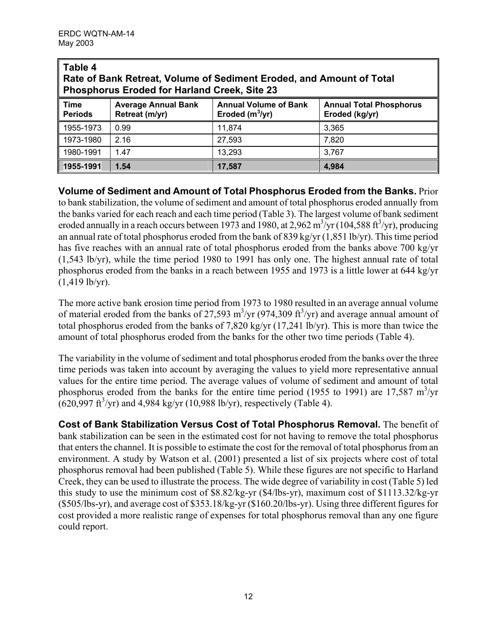| ∥ Table 4<br>Rate of Bank Retreat, Volume of Sediment Eroded, and Amount of Total<br><b>Phosphorus Eroded for Harland Creek, Site 23</b> |                                                                                                                                                       |        |       |  |  |  |  |
|------------------------------------------------------------------------------------------------------------------------------------------|-------------------------------------------------------------------------------------------------------------------------------------------------------|--------|-------|--|--|--|--|
| Time<br><b>Periods</b>                                                                                                                   | <b>Annual Volume of Bank</b><br><b>Average Annual Bank</b><br><b>Annual Total Phosphorus</b><br>Eroded $(m^3/yr)$<br>Eroded (kg/yr)<br>Retreat (m/yr) |        |       |  |  |  |  |
| 1955-1973                                                                                                                                | 0.99                                                                                                                                                  | 11,874 | 3.365 |  |  |  |  |
| 1973-1980                                                                                                                                | 2.16                                                                                                                                                  | 27,593 | 7,820 |  |  |  |  |
| 1980-1991                                                                                                                                | 1.47                                                                                                                                                  | 13,293 | 3,767 |  |  |  |  |
| $\ $ 1955-1991                                                                                                                           | 1.54                                                                                                                                                  | 17.587 | 4,984 |  |  |  |  |

**Volume of Sediment and Amount of Total Phosphorus Eroded from the Banks.** Prior to bank stabilization, the volume of sediment and amount of total phosphorus eroded annually from the banks varied for each reach and each time period (Table 3). The largest volume of bank sediment eroded annually in a reach occurs between 1973 and 1980, at 2,962 m<sup>3</sup>/yr (104,588 ft<sup>3</sup>/yr), producing an annual rate of total phosphorus eroded from the bank of 839 kg/yr (1,851 lb/yr). This time period has five reaches with an annual rate of total phosphorus eroded from the banks above 700 kg/yr (1,543 lb/yr), while the time period 1980 to 1991 has only one. The highest annual rate of total phosphorus eroded from the banks in a reach between 1955 and 1973 is a little lower at 644 kg/yr  $(1,419$  lb/yr).

The more active bank erosion time period from 1973 to 1980 resulted in an average annual volume of material eroded from the banks of 27,593 m<sup>3</sup>/yr (974,309 ft<sup>3</sup>/yr) and average annual amount of total phosphorus eroded from the banks of 7,820 kg/yr (17,241 lb/yr). This is more than twice the amount of total phosphorus eroded from the banks for the other two time periods (Table 4).

The variability in the volume of sediment and total phosphorus eroded from the banks over the three time periods was taken into account by averaging the values to yield more representative annual values for the entire time period. The average values of volume of sediment and amount of total phosphorus eroded from the banks for the entire time period (1955 to 1991) are 17,587  $\text{m}^3/\text{yr}$  $(620,997 \text{ ft}^3/\text{yr})$  and 4,984 kg/yr (10,988 lb/yr), respectively (Table 4).

**Cost of Bank Stabilization Versus Cost of Total Phosphorus Removal.** The benefit of bank stabilization can be seen in the estimated cost for not having to remove the total phosphorus that enters the channel. It is possible to estimate the cost for the removal of total phosphorus from an environment. A study by Watson et al. (2001) presented a list of six projects where cost of total phosphorus removal had been published (Table 5). While these figures are not specific to Harland Creek, they can be used to illustrate the process. The wide degree of variability in cost (Table 5) led this study to use the minimum cost of \$8.82/kg-yr (\$4/lbs-yr), maximum cost of \$1113.32/kg-yr (\$505/lbs-yr), and average cost of \$353.18/kg-yr (\$160.20/lbs-yr). Using three different figures for cost provided a more realistic range of expenses for total phosphorus removal than any one figure could report.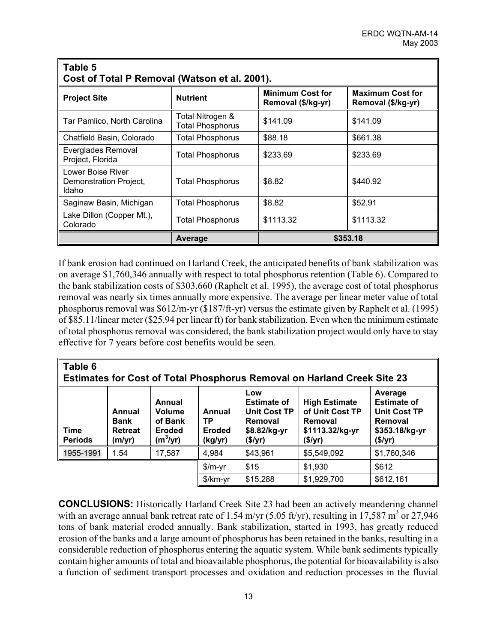| Table 5<br>Cost of Total P Removal (Watson et al. 2001). |                                             |                                               |                                               |  |  |  |  |  |
|----------------------------------------------------------|---------------------------------------------|-----------------------------------------------|-----------------------------------------------|--|--|--|--|--|
| <b>Project Site</b>                                      | <b>Nutrient</b>                             | <b>Minimum Cost for</b><br>Removal (\$/kg-yr) | <b>Maximum Cost for</b><br>Removal (\$/kg-yr) |  |  |  |  |  |
| Tar Pamlico, North Carolina                              | Total Nitrogen &<br><b>Total Phosphorus</b> | \$141.09                                      | \$141.09                                      |  |  |  |  |  |
| Chatfield Basin, Colorado                                | <b>Total Phosphorus</b>                     | \$88.18                                       | \$661.38                                      |  |  |  |  |  |
| Everglades Removal<br>Project, Florida                   | Total Phosphorus                            | \$233.69                                      | \$233.69                                      |  |  |  |  |  |
| Lower Boise River<br>Demonstration Project,<br>Idaho     | Total Phosphorus                            | \$8.82                                        | \$440.92                                      |  |  |  |  |  |
| Saginaw Basin, Michigan                                  | <b>Total Phosphorus</b>                     | \$8.82                                        | \$52.91                                       |  |  |  |  |  |
| Lake Dillon (Copper Mt.),<br>Colorado                    | Total Phosphorus                            | \$1113.32                                     | \$1113.32                                     |  |  |  |  |  |
|                                                          | Average                                     |                                               | \$353.18                                      |  |  |  |  |  |

If bank erosion had continued on Harland Creek, the anticipated benefits of bank stabilization was on average \$1,760,346 annually with respect to total phosphorus retention (Table 6). Compared to the bank stabilization costs of \$303,660 (Raphelt et al. 1995), the average cost of total phosphorus removal was nearly six times annually more expensive. The average per linear meter value of total phosphorus removal was \$612/m-yr (\$187/ft-yr) versus the estimate given by Raphelt et al. (1995) of \$85.11/linear meter (\$25.94 per linear ft) for bank stabilization. Even when the minimum estimate of total phosphorus removal was considered, the bank stabilization project would only have to stay effective for 7 years before cost benefits would be seen.

| Table 6<br><b>Estimates for Cost of Total Phosphorus Removal on Harland Creek Site 23</b> |                                            |                                                            |                                          |                                                                                 |                                                                                  |                                                                                              |  |  |  |
|-------------------------------------------------------------------------------------------|--------------------------------------------|------------------------------------------------------------|------------------------------------------|---------------------------------------------------------------------------------|----------------------------------------------------------------------------------|----------------------------------------------------------------------------------------------|--|--|--|
| <b>Time</b><br><b>Periods</b>                                                             | Annual<br><b>Bank</b><br>Retreat<br>(m/yr) | Annual<br>Volume<br>of Bank<br><b>Eroded</b><br>$(m^3/yr)$ | Annual<br>ТP<br><b>Eroded</b><br>(kg/yr) | Low<br><b>Estimate of</b><br>Unit Cost TP<br>Removal<br>\$8.82/kg-yr<br>(\$/yr) | <b>High Estimate</b><br>of Unit Cost TP<br>Removal<br>\$1113.32/kg-yr<br>(\$/yr) | Average<br><b>Estimate of</b><br><b>Unit Cost TP</b><br>Removal<br>\$353.18/kg-yr<br>(\$/yr) |  |  |  |
| 1955-1991                                                                                 | 1.54                                       | 17,587                                                     | 4,984                                    | \$43,961                                                                        | \$5,549,092                                                                      | \$1,760,346                                                                                  |  |  |  |
|                                                                                           |                                            |                                                            | $$/m-yr$                                 | \$15                                                                            | \$1,930                                                                          | \$612                                                                                        |  |  |  |
|                                                                                           |                                            |                                                            | $\frac{m}{r}$                            | \$15,288                                                                        | \$1,929,700                                                                      | \$612,161                                                                                    |  |  |  |

**CONCLUSIONS:** Historically Harland Creek Site 23 had been an actively meandering channel with an average annual bank retreat rate of 1.54 m/yr (5.05 ft/yr), resulting in 17,587 m<sup>3</sup> or 27,946 tons of bank material eroded annually. Bank stabilization, started in 1993, has greatly reduced erosion of the banks and a large amount of phosphorus has been retained in the banks, resulting in a considerable reduction of phosphorus entering the aquatic system. While bank sediments typically contain higher amounts of total and bioavailable phosphorus, the potential for bioavailability is also a function of sediment transport processes and oxidation and reduction processes in the fluvial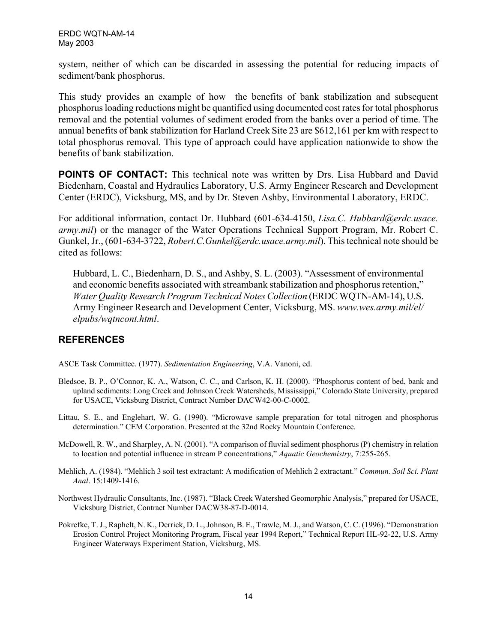system, neither of which can be discarded in assessing the potential for reducing impacts of sediment/bank phosphorus.

This study provides an example of how the benefits of bank stabilization and subsequent phosphorus loading reductions might be quantified using documented cost rates for total phosphorus removal and the potential volumes of sediment eroded from the banks over a period of time. The annual benefits of bank stabilization for Harland Creek Site 23 are \$612,161 per km with respect to total phosphorus removal. This type of approach could have application nationwide to show the benefits of bank stabilization.

**POINTS OF CONTACT:** This technical note was written by Drs. Lisa Hubbard and David Biedenharn, Coastal and Hydraulics Laboratory, U.S. Army Engineer Research and Development Center (ERDC), Vicksburg, MS, and by Dr. Steven Ashby, Environmental Laboratory, ERDC.

For additional information, contact Dr. Hubbard (601-634-4150, *Lisa.C. Hubbard@erdc.usace. army.mil*) or the manager of the Water Operations Technical Support Program, Mr. Robert C. Gunkel, Jr., (601-634-3722, *Robert.C.Gunkel@erdc.usace.army.mil*). This technical note should be cited as follows:

Hubbard, L. C., Biedenharn, D. S., and Ashby, S. L. (2003). "Assessment of environmental and economic benefits associated with streambank stabilization and phosphorus retention," *Water Quality Research Program Technical Notes Collection* (ERDC WQTN-AM-14), U.S. Army Engineer Research and Development Center, Vicksburg, MS. *www.wes.army.mil/el/ elpubs/wqtncont.html*.

#### **REFERENCES**

ASCE Task Committee. (1977). *Sedimentation Engineering*, V.A. Vanoni, ed.

- Bledsoe, B. P., O'Connor, K. A., Watson, C. C., and Carlson, K. H. (2000). "Phosphorus content of bed, bank and upland sediments: Long Creek and Johnson Creek Watersheds, Mississippi," Colorado State University, prepared for USACE, Vicksburg District, Contract Number DACW42-00-C-0002.
- Littau, S. E., and Englehart, W. G. (1990). "Microwave sample preparation for total nitrogen and phosphorus determination." CEM Corporation. Presented at the 32nd Rocky Mountain Conference.
- McDowell, R. W., and Sharpley, A. N. (2001). "A comparison of fluvial sediment phosphorus (P) chemistry in relation to location and potential influence in stream P concentrations," *Aquatic Geochemistry*, 7:255-265.
- Mehlich, A. (1984). "Mehlich 3 soil test extractant: A modification of Mehlich 2 extractant." *Commun. Soil Sci. Plant Anal*. 15:1409-1416.
- Northwest Hydraulic Consultants, Inc. (1987). "Black Creek Watershed Geomorphic Analysis," prepared for USACE, Vicksburg District, Contract Number DACW38-87-D-0014.
- Pokrefke, T. J., Raphelt, N. K., Derrick, D. L., Johnson, B. E., Trawle, M. J., and Watson, C. C. (1996). "Demonstration Erosion Control Project Monitoring Program, Fiscal year 1994 Report," Technical Report HL-92-22, U.S. Army Engineer Waterways Experiment Station, Vicksburg, MS.